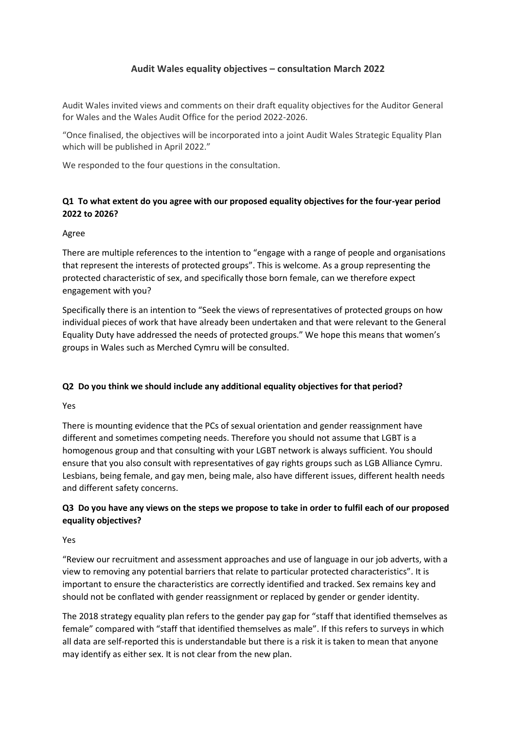## **Audit Wales equality objectives – consultation March 2022**

Audit Wales invited views and comments on their draft equality objectives for the Auditor General for Wales and the Wales Audit Office for the period 2022-2026.

"Once finalised, the objectives will be incorporated into a joint Audit Wales Strategic Equality Plan which will be published in April 2022."

We responded to the four questions in the consultation.

## **Q1 To what extent do you agree with our proposed equality objectives for the four-year period 2022 to 2026?**

#### Agree

There are multiple references to the intention to "engage with a range of people and organisations that represent the interests of protected groups". This is welcome. As a group representing the protected characteristic of sex, and specifically those born female, can we therefore expect engagement with you?

Specifically there is an intention to "Seek the views of representatives of protected groups on how individual pieces of work that have already been undertaken and that were relevant to the General Equality Duty have addressed the needs of protected groups." We hope this means that women's groups in Wales such as Merched Cymru will be consulted.

### **Q2 Do you think we should include any additional equality objectives for that period?**

Yes

There is mounting evidence that the PCs of sexual orientation and gender reassignment have different and sometimes competing needs. Therefore you should not assume that LGBT is a homogenous group and that consulting with your LGBT network is always sufficient. You should ensure that you also consult with representatives of gay rights groups such as LGB Alliance Cymru. Lesbians, being female, and gay men, being male, also have different issues, different health needs and different safety concerns.

# **Q3 Do you have any views on the steps we propose to take in order to fulfil each of our proposed equality objectives?**

#### Yes

"Review our recruitment and assessment approaches and use of language in our job adverts, with a view to removing any potential barriers that relate to particular protected characteristics". It is important to ensure the characteristics are correctly identified and tracked. Sex remains key and should not be conflated with gender reassignment or replaced by gender or gender identity.

The 2018 strategy equality plan refers to the gender pay gap for "staff that identified themselves as female" compared with "staff that identified themselves as male". If this refers to surveys in which all data are self-reported this is understandable but there is a risk it is taken to mean that anyone may identify as either sex. It is not clear from the new plan.